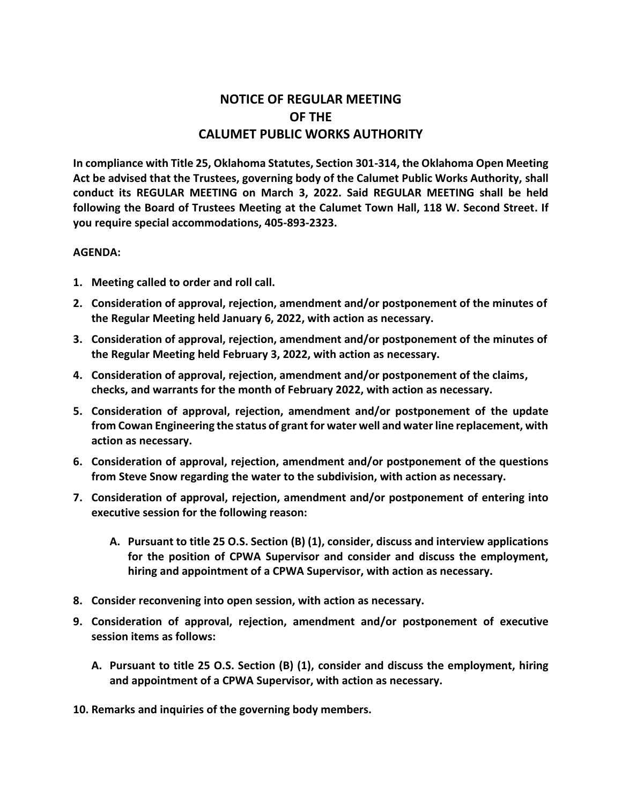## **NOTICE OF REGULAR MEETING OF THE CALUMET PUBLIC WORKS AUTHORITY**

**In compliance with Title 25, Oklahoma Statutes, Section 301-314, the Oklahoma Open Meeting Act be advised that the Trustees, governing body of the Calumet Public Works Authority, shall conduct its REGULAR MEETING on March 3, 2022. Said REGULAR MEETING shall be held following the Board of Trustees Meeting at the Calumet Town Hall, 118 W. Second Street. If you require special accommodations, 405-893-2323.**

## **AGENDA:**

- **1. Meeting called to order and roll call.**
- **2. Consideration of approval, rejection, amendment and/or postponement of the minutes of the Regular Meeting held January 6, 2022, with action as necessary.**
- **3. Consideration of approval, rejection, amendment and/or postponement of the minutes of the Regular Meeting held February 3, 2022, with action as necessary.**
- **4. Consideration of approval, rejection, amendment and/or postponement of the claims, checks, and warrants for the month of February 2022, with action as necessary.**
- **5. Consideration of approval, rejection, amendment and/or postponement of the update from Cowan Engineering the status of grant for water well and water line replacement, with action as necessary.**
- **6. Consideration of approval, rejection, amendment and/or postponement of the questions from Steve Snow regarding the water to the subdivision, with action as necessary.**
- **7. Consideration of approval, rejection, amendment and/or postponement of entering into executive session for the following reason:**
	- **A. Pursuant to title 25 O.S. Section (B) (1), consider, discuss and interview applications for the position of CPWA Supervisor and consider and discuss the employment, hiring and appointment of a CPWA Supervisor, with action as necessary.**
- **8. Consider reconvening into open session, with action as necessary.**
- **9. Consideration of approval, rejection, amendment and/or postponement of executive session items as follows:**
	- **A. Pursuant to title 25 O.S. Section (B) (1), consider and discuss the employment, hiring and appointment of a CPWA Supervisor, with action as necessary.**

**10. Remarks and inquiries of the governing body members.**